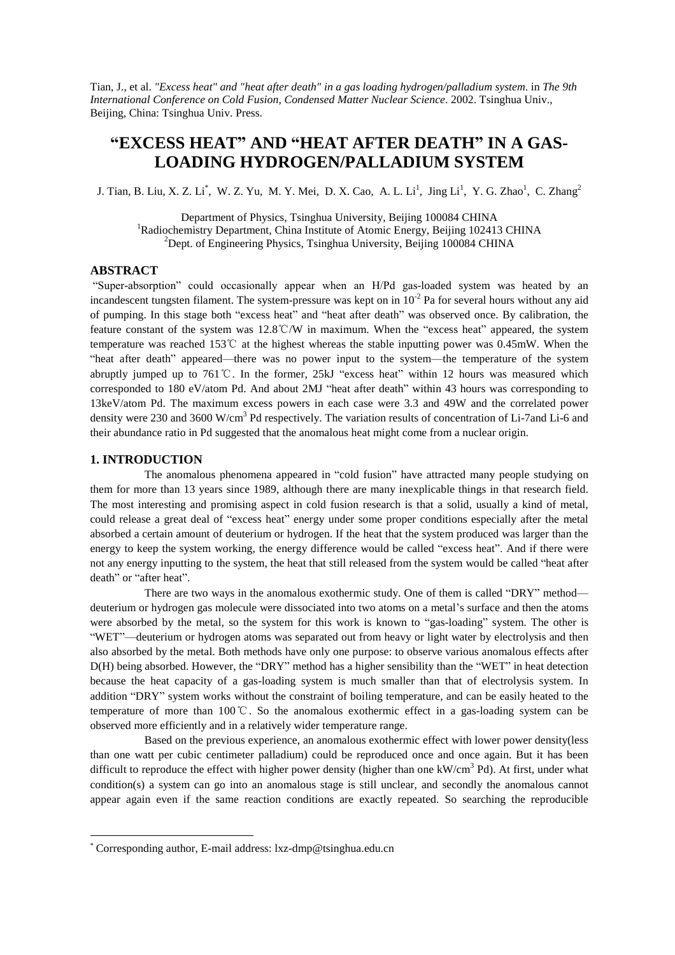Tian, J., et al. *"Excess heat" and "heat after death" in a gas loading hydrogen/palladium system*. in *The 9th International Conference on Cold Fusion, Condensed Matter Nuclear Science*. 2002. Tsinghua Univ., Beijing, China: Tsinghua Univ. Press.

# **"EXCESS HEAT"AND "HEAT AFTER DEATH"IN A GAS-LOADING HYDROGEN/PALLADIUM SYSTEM**

J.T[i](#page-0-0)an, B. Liu, X. Z. Li<sup>\*</sup>, W. Z. Yu, M. Y. Mei, D. X. Cao, A. L. Li<sup>1</sup>, Jing Li<sup>1</sup>, Y. G. Zhao<sup>1</sup>, C. Zhang<sup>2</sup>

Department of Physics, Tsinghua University, Beijing 100084 CHINA <sup>1</sup>Radiochemistry Department, China Institute of Atomic Energy, Beijing 102413 CHINA  $2$ Dept. of Engineering Physics, Tsinghua University, Beijing 100084 CHINA

# **ABSTRACT**

"Super-absorption" could occasionally appear when an H/Pd gas-loaded system was heated by an incandescent tungsten filament. The system-pressure was kept on in  $10^{-2}$  Pa for several hours without any aid of pumping. In this stage both "excess heat"and "heat after death"was observed once. By calibration, the feature constant of the system was 12.8℃/W in maximum. When the "excess heat"appeared, the system temperature was reached 153℃ at the highest whereas the stable inputting power was 0.45mW. When the "heat after death" appeared—there was no power input to the system—the temperature of the system abruptly jumped up to 761℃. In the former, 25kJ "excess heat" within 12 hours was measured which corresponded to 180 eV/atom Pd. And about 2MJ "heat after death" within 43 hours was corresponding to 13keV/atom Pd. The maximum excess powers in each case were 3.3 and 49W and the correlated power density were 230 and 3600 W/cm<sup>3</sup> Pd respectively. The variation results of concentration of Li-7and Li-6 and their abundance ratio in Pd suggested that the anomalous heat might come from a nuclear origin.

## **1. INTRODUCTION**

The anomalous phenomena appeared in "cold fusion" have attracted many people studying on them for more than 13 years since 1989, although there are many inexplicable things in that research field. The most interesting and promising aspect in cold fusion research is that a solid, usually a kind of metal, could release a great deal of "excess heat" energy under some proper conditions especially after the metal absorbed a certain amount of deuterium or hydrogen. If the heat that the system produced was larger than the energy to keep the system working, the energy difference would be called "excess heat". And if there were not any energy inputting to the system, the heat that still released from the system would be called "heat after death" or "after heat".

There are two ways in the anomalous exothermic study. One of them is called "DRY" method deuterium or hydrogen gas molecule were dissociated into two atoms on a metal's surface and then the atoms were absorbed by the metal, so the system for this work is known to "gas-loading" system. The other is "WET"—deuterium or hydrogen atoms was separated out from heavy or light water by electrolysis and then also absorbed by the metal. Both methods have only one purpose: to observe various anomalous effects after D(H) being absorbed. However, the "DRY" method has a higher sensibility than the "WET" in heat detection because the heat capacity of a gas-loading system is much smaller than that of electrolysis system. In addition "DRY" system works without the constraint of boiling temperature, and can be easily heated to the temperature of more than 100℃. So the anomalous exothermic effect in a gas-loading system can be observed more efficiently and in a relatively wider temperature range.

Based on the previous experience, an anomalous exothermic effect with lower power density(less than one watt per cubic centimeter palladium) could be reproduced once and once again. But it has been difficult to reproduce the effect with higher power density (higher than one kW/cm<sup>3</sup> Pd). At first, under what condition(s) a system can go into an anomalous stage is still unclear, and secondly the anomalous cannot appear again even if the same reaction conditions are exactly repeated. So searching the reproducible

<span id="page-0-0"></span><sup>\*</sup> Corresponding author, E-mail address: lxz-dmp@tsinghua.edu.cn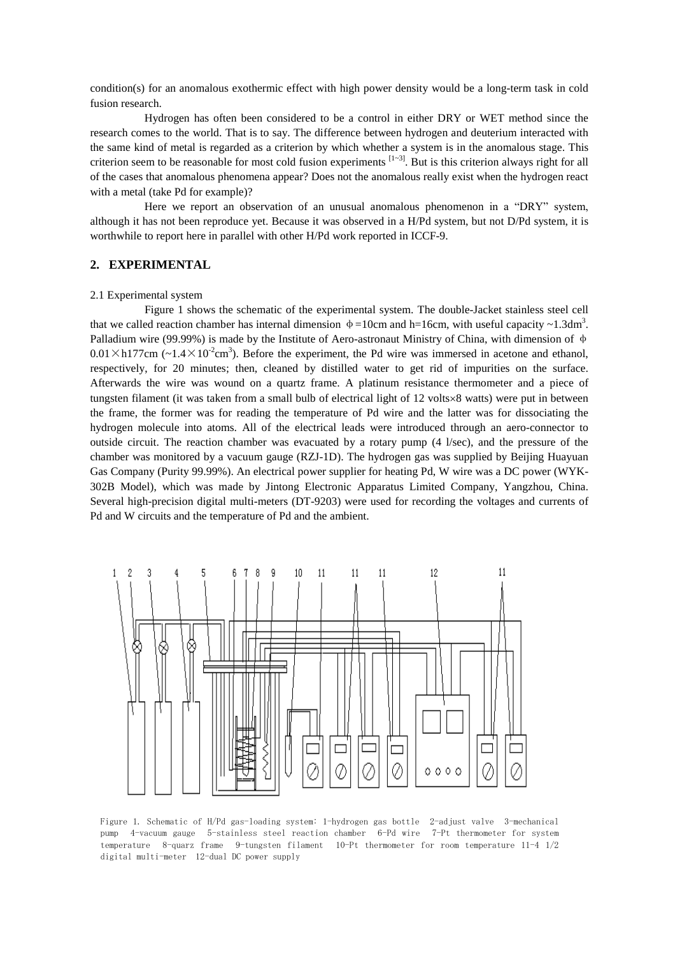condition(s) for an anomalous exothermic effect with high power density would be a long-term task in cold fusion research.

Hydrogen has often been considered to be a control in either DRY or WET method since the research comes to the world. That is to say. The difference between hydrogen and deuterium interacted with the same kind of metal is regarded as a criterion by which whether a system is in the anomalous stage. This criterion seem to be reasonable for most cold fusion experiments  $[1-3]$ . But is this criterion always right for all of the cases that anomalous phenomena appear? Does not the anomalous really exist when the hydrogen react with a metal (take Pd for example)?

Here we report an observation of an unusual anomalous phenomenon in a "DRY" system, although it has not been reproduce yet. Because it was observed in a H/Pd system, but not D/Pd system, it is worthwhile to report here in parallel with other H/Pd work reported in ICCF-9.

# **2. EXPERIMENTAL**

#### 2.1 Experimental system

Figure 1 shows the schematic of the experimental system. The double-Jacket stainless steel cell that we called reaction chamber has internal dimension  $\phi = 10$ cm and h=16cm, with useful capacity ~1.3dm<sup>3</sup>. Palladium wire (99.99%) is made by the Institute of Aero-astronaut Ministry of China, with dimension of  $\phi$  $0.01 \times h177$ cm (~ $1.4 \times 10^{-2}$ cm<sup>3</sup>). Before the experiment, the Pd wire was immersed in acetone and ethanol, respectively, for 20 minutes; then, cleaned by distilled water to get rid of impurities on the surface. Afterwards the wire was wound on a quartz frame. A platinum resistance thermometer and a piece of tungsten filament (it was taken from a small bulb of electrical light of  $12 \text{ volts} \times 8 \text{ watts}$ ) were put in between the frame, the former was for reading the temperature of Pd wire and the latter was for dissociating the hydrogen molecule into atoms. All of the electrical leads were introduced through an aero-connector to outside circuit. The reaction chamber was evacuated by a rotary pump (4 l/sec), and the pressure of the chamber was monitored by a vacuum gauge (RZJ-1D). The hydrogen gas was supplied by Beijing Huayuan Gas Company (Purity 99.99%). An electrical power supplier for heating Pd, W wire was a DC power (WYK-302B Model), which was made by Jintong Electronic Apparatus Limited Company, Yangzhou, China. Several high-precision digital multi-meters (DT-9203) were used for recording the voltages and currents of Pd and W circuits and the temperature of Pd and the ambient.



Figure 1. Schematic of H/Pd gas-loading system: 1-hydrogen gas bottle 2-adjust valve 3-mechanical pump 4-vacuum gauge 5-stainless steel reaction chamber 6-Pd wire 7-Pt thermometer for system temperature 8-quarz frame 9-tungsten filament 10-Pt thermometer for room temperature  $11-4$   $1/2$ digital multi-meter 12-dual DC power supply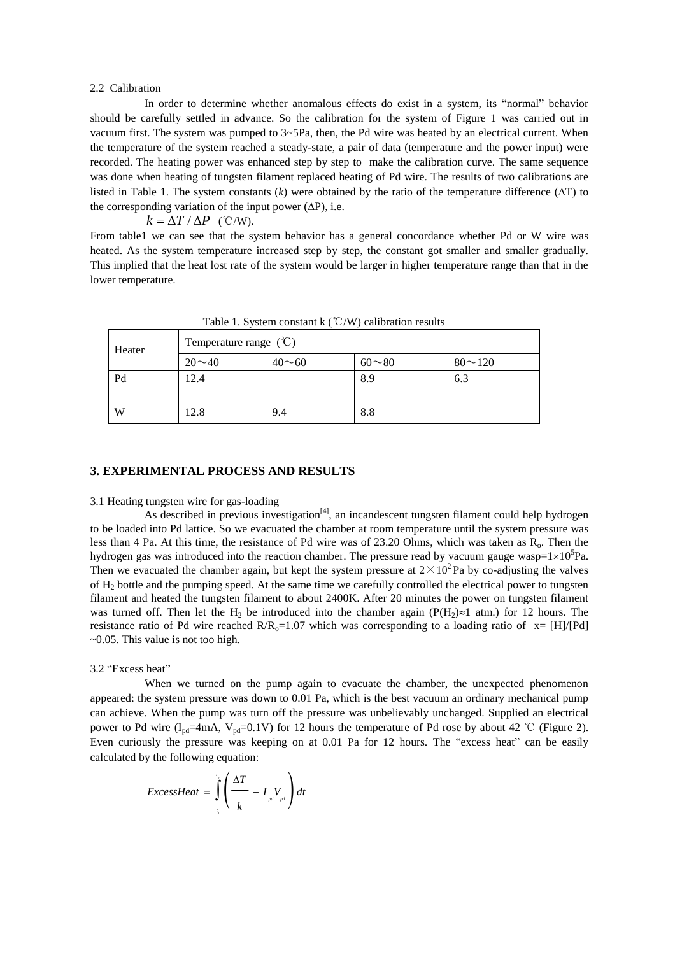#### 2.2 Calibration

In order to determine whether anomalous effects do exist in a system, its "normal"behavior should be carefully settled in advance. So the calibration for the system of Figure 1 was carried out in vacuum first. The system was pumped to 3~5Pa, then, the Pd wire was heated by an electrical current. When the temperature of the system reached a steady-state, a pair of data (temperature and the power input) were recorded. The heating power was enhanced step by step to make the calibration curve. The same sequence was done when heating of tungsten filament replaced heating of Pd wire. The results of two calibrations are listed in Table 1. The system constants  $(k)$  were obtained by the ratio of the temperature difference  $(\Delta T)$  to the corresponding variation of the input power  $(\Delta P)$ , i.e.

$$
k = \Delta T / \Delta P
$$
 (°C/W).

From table1 we can see that the system behavior has a general concordance whether Pd or W wire was heated. As the system temperature increased step by step, the constant got smaller and smaller gradually. This implied that the heat lost rate of the system would be larger in higher temperature range than that in the lower temperature.

| Heater | Temperature range $(\mathcal{C})$ |              |               |                |
|--------|-----------------------------------|--------------|---------------|----------------|
|        | $20 \sim 40$                      | $40 \sim 60$ | $60^{\sim}80$ | $80^{\sim}120$ |
| Pd     | 12.4                              |              | 8.9           | 6.3            |
| W      | 12.8                              | 9.4          | 8.8           |                |

Table 1. System constant  $\frac{1}{2}$  (°C/W) calibration results

### **3. EXPERIMENTAL PROCESS AND RESULTS**

## 3.1 Heating tungsten wire for gas-loading

As described in previous investigation<sup>[4]</sup>, an incandescent tungsten filament could help hydrogen to be loaded into Pd lattice. So we evacuated the chamber at room temperature until the system pressure was less than 4 Pa. At this time, the resistance of Pd wire was of 23.20 Ohms, which was taken as  $R_0$ . Then the hydrogen gas was introduced into the reaction chamber. The pressure read by vacuum gauge wasp= $1\times10^{5}$ Pa. Then we evacuated the chamber again, but kept the system pressure at  $2 \times 10^2$  Pa by co-adjusting the valves of  $H_2$  bottle and the pumping speed. At the same time we carefully controlled the electrical power to tungsten filament and heated the tungsten filament to about 2400K. After 20 minutes the power on tungsten filament was turned off. Then let the H<sub>2</sub> be introduced into the chamber again ( $P(H_2) \approx 1$  atm.) for 12 hours. The resistance ratio of Pd wire reached  $R/R_0=1.07$  which was corresponding to a loading ratio of  $x=[H]/[Pd]$ ~0.05. This value is not too high.

## 3.2 "Excess heat"

When we turned on the pump again to evacuate the chamber, the unexpected phenomenon appeared: the system pressure was down to 0.01 Pa, which is the best vacuum an ordinary mechanical pump can achieve. When the pump was turn off the pressure was unbelievably unchanged. Supplied an electrical power to Pd wire ( $I_{\text{nd}}=4\text{mA}$ ,  $V_{\text{nd}}=0.1V$ ) for 12 hours the temperature of Pd rose by about 42 ℃ (Figure 2). Even curiously the pressure was keeping on at 0.01 Pa for 12 hours. The "excess heat" can be easily calculated by the following equation:

$$
ExcessHeat = \int_{t_1}^{t_2} \left(\frac{\Delta T}{k} - I_{pt} V_{pt}\right) dt
$$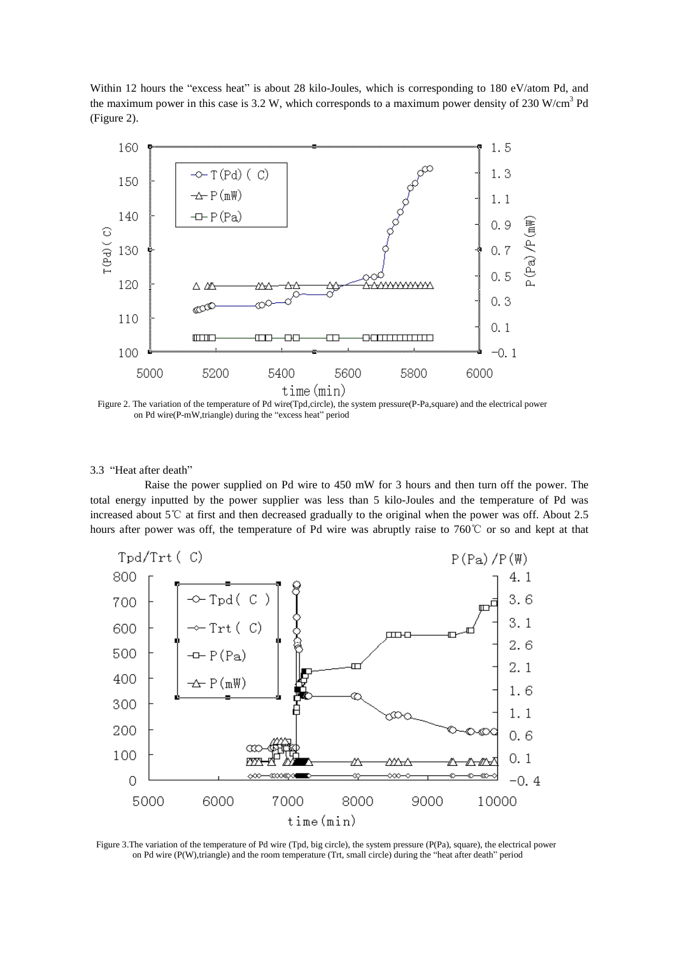Within 12 hours the "excess heat" is about 28 kilo-Joules, which is corresponding to 180 eV/atom Pd, and the maximum power in this case is 3.2 W, which corresponds to a maximum power density of 230 W/cm<sup>3</sup> Pd (Figure 2).



Figure 2. The variation of the temperature of Pd wire(Tpd,circle), the system pressure(P-Pa,square) and the electrical power on Pd wire(P-mW,triangle) during the "excess heat" period

## 3.3 "Heat after death"

Raise the power supplied on Pd wire to 450 mW for 3 hours and then turn off the power. The total energy inputted by the power supplier was less than 5 kilo-Joules and the temperature of Pd was increased about 5℃ at first and then decreased gradually to the original when the power was off. About 2.5 hours after power was off, the temperature of Pd wire was abruptly raise to 760℃ or so and kept at that



Figure 3.The variation of the temperature of Pd wire (Tpd, big circle), the system pressure (P(Pa), square), the electrical power on Pd wire (P(W),triangle) and the room temperature (Trt, small circle) during the "heat after death"period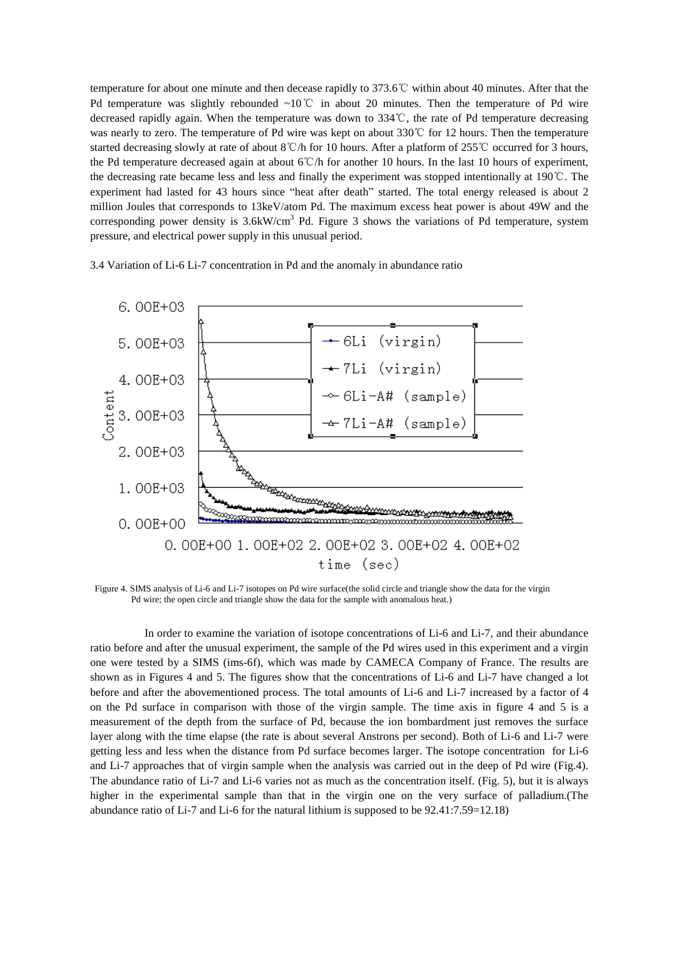temperature for about one minute and then decease rapidly to 373.6℃ within about 40 minutes. After that the Pd temperature was slightly rebounded ~10°C in about 20 minutes. Then the temperature of Pd wire decreased rapidly again. When the temperature was down to 334℃, the rate of Pd temperature decreasing was nearly to zero. The temperature of Pd wire was kept on about 330℃ for 12 hours. Then the temperature started decreasing slowly at rate of about 8℃/h for 10 hours. After a platform of 255℃ occurred for 3 hours, the Pd temperature decreased again at about 6℃/h for another 10 hours. In the last 10 hours of experiment, the decreasing rate became less and less and finally the experiment was stopped intentionally at 190℃. The experiment had lasted for 43 hours since "heat after death" started. The total energy released is about 2 million Joules that corresponds to 13keV/atom Pd. The maximum excess heat power is about 49W and the corresponding power density is  $3.6$ kW/cm<sup>3</sup> Pd. Figure 3 shows the variations of Pd temperature, system pressure, and electrical power supply in this unusual period.

3.4 Variation of Li-6 Li-7 concentration in Pd and the anomaly in abundance ratio



Figure 4. SIMS analysis of Li-6 and Li-7 isotopes on Pd wire surface(the solid circle and triangle show the data for the virgin Pd wire; the open circle and triangle show the data for the sample with anomalous heat.)

In order to examine the variation of isotope concentrations of Li-6 and Li-7, and their abundance ratio before and after the unusual experiment, the sample of the Pd wires used in this experiment and a virgin one were tested by a SIMS (ims-6f), which was made by CAMECA Company of France. The results are shown as in Figures 4 and 5. The figures show that the concentrations of Li-6 and Li-7 have changed a lot before and after the abovementioned process. The total amounts of Li-6 and Li-7 increased by a factor of 4 on the Pd surface in comparison with those of the virgin sample. The time axis in figure 4 and 5 is a measurement of the depth from the surface of Pd, because the ion bombardment just removes the surface layer along with the time elapse (the rate is about several Anstrons per second). Both of Li-6 and Li-7 were getting less and less when the distance from Pd surface becomes larger. The isotope concentration for Li-6 and Li-7 approaches that of virgin sample when the analysis was carried out in the deep of Pd wire (Fig.4). The abundance ratio of Li-7 and Li-6 varies not as much as the concentration itself. (Fig. 5), but it is always higher in the experimental sample than that in the virgin one on the very surface of palladium.(The abundance ratio of Li-7 and Li-6 for the natural lithium is supposed to be 92.41:7.59=12.18)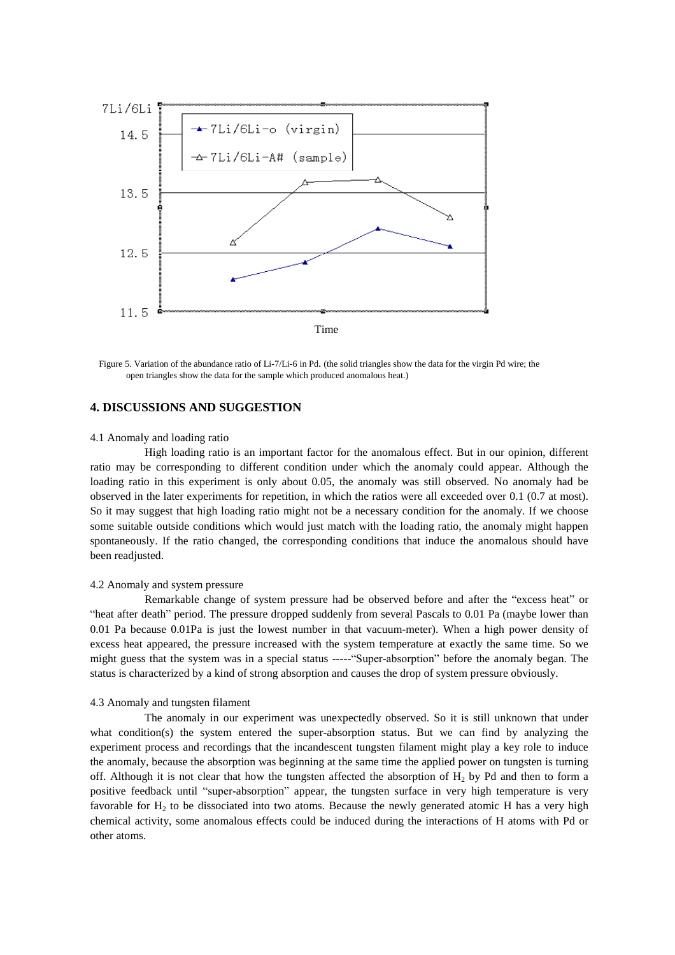

Figure 5. Variation of the abundance ratio of Li-7/Li-6 in Pd. (the solid triangles show the data for the virgin Pd wire; the open triangles show the data for the sample which produced anomalous heat.)

## **4. DISCUSSIONS AND SUGGESTION**

## 4.1 Anomaly and loading ratio

High loading ratio is an important factor for the anomalous effect. But in our opinion, different ratio may be corresponding to different condition under which the anomaly could appear. Although the loading ratio in this experiment is only about 0.05, the anomaly was still observed. No anomaly had be observed in the later experiments for repetition, in which the ratios were all exceeded over 0.1 (0.7 at most). So it may suggest that high loading ratio might not be a necessary condition for the anomaly. If we choose some suitable outside conditions which would just match with the loading ratio, the anomaly might happen spontaneously. If the ratio changed, the corresponding conditions that induce the anomalous should have been readjusted.

#### 4.2 Anomaly and system pressure

Remarkable change of system pressure had be observed before and after the "excess heat" or "heat after death" period. The pressure dropped suddenly from several Pascals to 0.01 Pa (maybe lower than 0.01 Pa because 0.01Pa is just the lowest number in that vacuum-meter). When a high power density of excess heat appeared, the pressure increased with the system temperature at exactly the same time. So we might guess that the system was in a special status -----"Super-absorption"before the anomaly began. The status is characterized by a kind of strong absorption and causes the drop of system pressure obviously.

## 4.3 Anomaly and tungsten filament

The anomaly in our experiment was unexpectedly observed. So it is still unknown that under what condition(s) the system entered the super-absorption status. But we can find by analyzing the experiment process and recordings that the incandescent tungsten filament might play a key role to induce the anomaly, because the absorption was beginning at the same time the applied power on tungsten is turning off. Although it is not clear that how the tungsten affected the absorption of  $H<sub>2</sub>$  by Pd and then to form a positive feedback until "super-absorption" appear, the tungsten surface in very high temperature is very favorable for  $H_2$  to be dissociated into two atoms. Because the newly generated atomic H has a very high chemical activity, some anomalous effects could be induced during the interactions of H atoms with Pd or other atoms.